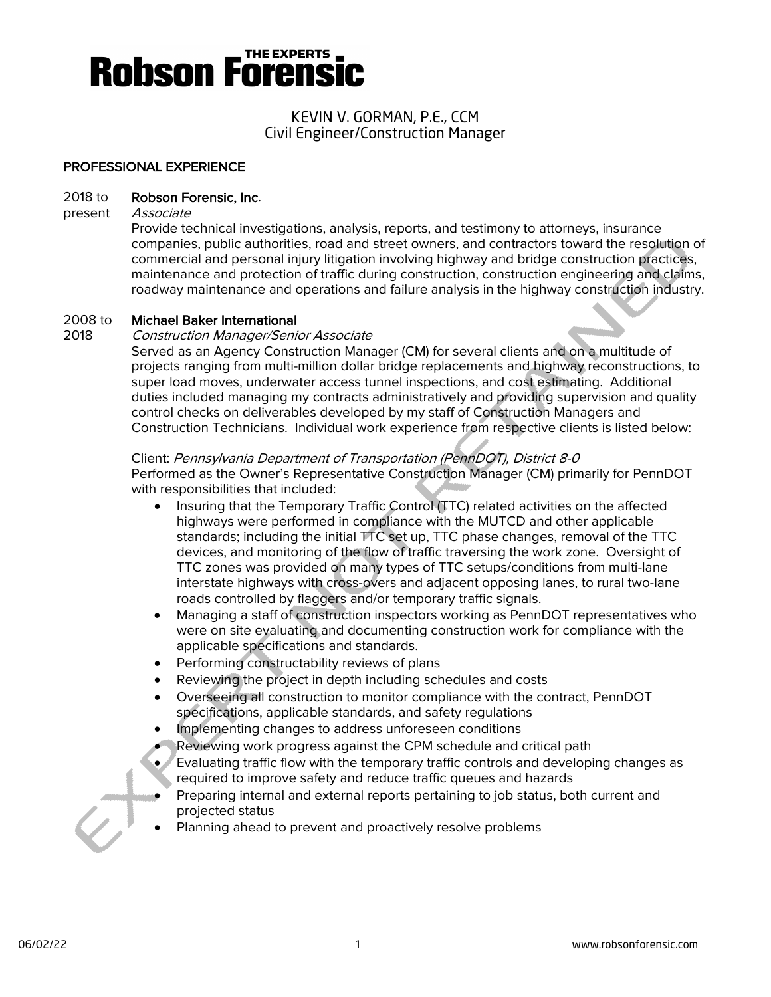# **Robson Forensi**

## KEVIN V. GORMAN, P.E., CCM Civil Engineer/Construction Manager

## PROFESSIONAL EXPERIENCE

### 2018 to Robson Forensic, Inc.

### present Associate

Provide technical investigations, analysis, reports, and testimony to attorneys, insurance companies, public authorities, road and street owners, and contractors toward the resolution of commercial and personal injury litigation involving highway and bridge construction practices, maintenance and protection of traffic during construction, construction engineering and claims, roadway maintenance and operations and failure analysis in the highway construction industry.

### 2008 to Michael Baker International

### 2018 Construction Manager/Senior Associate

Served as an Agency Construction Manager (CM) for several clients and on a multitude of projects ranging from multi-million dollar bridge replacements and highway reconstructions, to super load moves, underwater access tunnel inspections, and cost estimating. Additional duties included managing my contracts administratively and providing supervision and quality control checks on deliverables developed by my staff of Construction Managers and Construction Technicians. Individual work experience from respective clients is listed below:

### Client: Pennsylvania Department of Transportation (PennDOT), District 8-0

Performed as the Owner's Representative Construction Manager (CM) primarily for PennDOT with responsibilities that included:

- Insuring that the Temporary Traffic Control (TTC) related activities on the affected highways were performed in compliance with the MUTCD and other applicable standards; including the initial TTC set up, TTC phase changes, removal of the TTC devices, and monitoring of the flow of traffic traversing the work zone. Oversight of TTC zones was provided on many types of TTC setups/conditions from multi-lane interstate highways with cross-overs and adjacent opposing lanes, to rural two-lane roads controlled by flaggers and/or temporary traffic signals.
- Managing a staff of construction inspectors working as PennDOT representatives who were on site evaluating and documenting construction work for compliance with the applicable specifications and standards.
- Performing constructability reviews of plans
- Reviewing the project in depth including schedules and costs
- Overseeing all construction to monitor compliance with the contract, PennDOT specifications, applicable standards, and safety regulations
- Implementing changes to address unforeseen conditions
- Reviewing work progress against the CPM schedule and critical path
- Evaluating traffic flow with the temporary traffic controls and developing changes as required to improve safety and reduce traffic queues and hazards
- Preparing internal and external reports pertaining to job status, both current and projected status
- Planning ahead to prevent and proactively resolve problems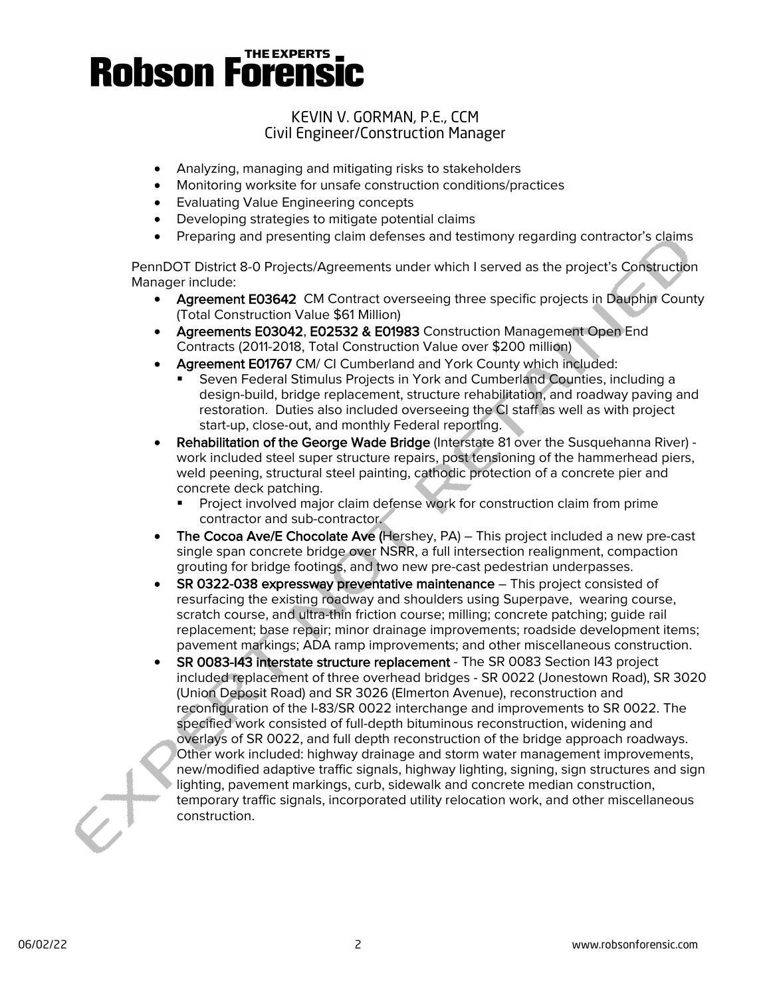# **Robson Forensic**

# KEVIN V. GORMAN, P.E., CCM Civil Engineer/Construction Manager

- Analyzing, managing and mitigating risks to stakeholders
- Monitoring worksite for unsafe construction conditions/practices
- Evaluating Value Engineering concepts
- Developing strategies to mitigate potential claims
- Preparing and presenting claim defenses and testimony regarding contractor's claims

PennDOT District 8-0 Projects/Agreements under which I served as the project's Construction Manager include:

- Agreement E03642 CM Contract overseeing three specific projects in Dauphin County (Total Construction Value \$61 Million)
- Agreements E03042, E02532 & E01983 Construction Management Open End Contracts (2011-2018, Total Construction Value over \$200 million)
- Agreement E01767 CM/ CI Cumberland and York County which included:
	- Seven Federal Stimulus Projects in York and Cumberland Counties, including a design-build, bridge replacement, structure rehabilitation, and roadway paving and restoration. Duties also included overseeing the CI staff as well as with project start-up, close-out, and monthly Federal reporting.
- Rehabilitation of the George Wade Bridge (Interstate 81 over the Susquehanna River) work included steel super structure repairs, post tensioning of the hammerhead piers, weld peening, structural steel painting, cathodic protection of a concrete pier and concrete deck patching.
	- Project involved major claim defense work for construction claim from prime contractor and sub-contractor.
- The Cocoa Ave/E Chocolate Ave (Hershey, PA) This project included a new pre-cast single span concrete bridge over NSRR, a full intersection realignment, compaction grouting for bridge footings, and two new pre-cast pedestrian underpasses.
- SR 0322-038 expressway preventative maintenance This project consisted of resurfacing the existing roadway and shoulders using Superpave, wearing course, scratch course, and ultra-thin friction course; milling; concrete patching; guide rail replacement; base repair; minor drainage improvements; roadside development items; pavement markings; ADA ramp improvements; and other miscellaneous construction.
- SR 0083-I43 interstate structure replacement The SR 0083 Section I43 project included replacement of three overhead bridges - SR 0022 (Jonestown Road), SR 3020 (Union Deposit Road) and SR 3026 (Elmerton Avenue), reconstruction and reconfiguration of the I-83/SR 0022 interchange and improvements to SR 0022. The specified work consisted of full-depth bituminous reconstruction, widening and overlays of SR 0022, and full depth reconstruction of the bridge approach roadways. Other work included: highway drainage and storm water management improvements, new/modified adaptive traffic signals, highway lighting, signing, sign structures and sign lighting, pavement markings, curb, sidewalk and concrete median construction, temporary traffic signals, incorporated utility relocation work, and other miscellaneous construction.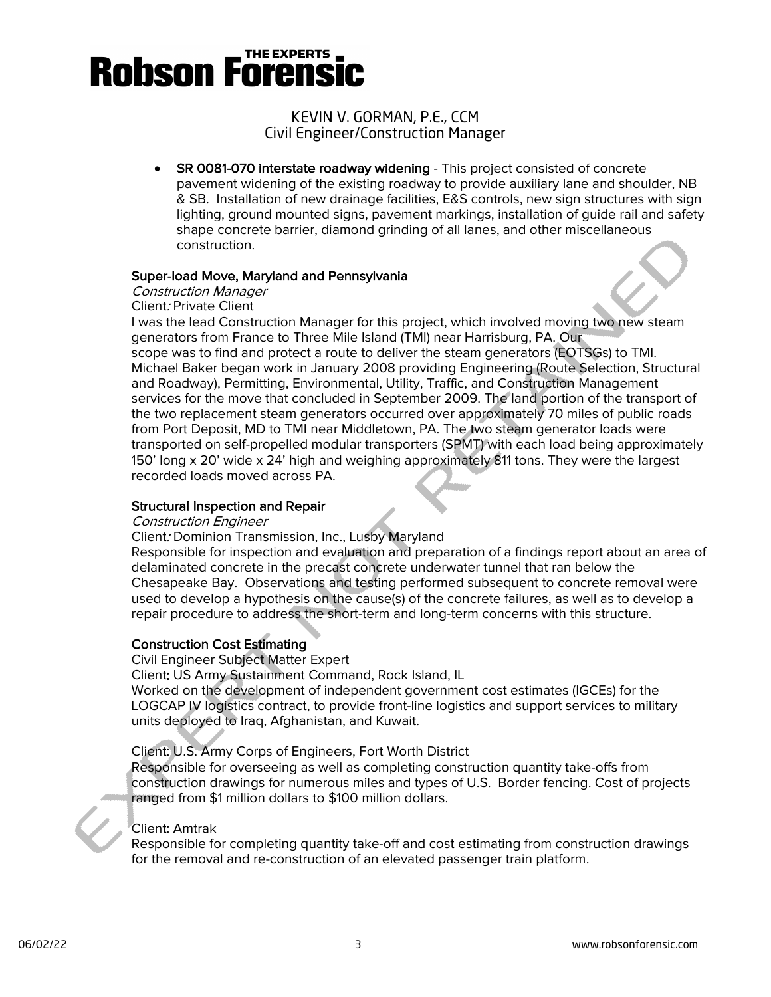# THE EXPERTS **Robson Forensi**

## KEVIN V. GORMAN, P.E., CCM Civil Engineer/Construction Manager

• SR 0081-070 interstate roadway widening - This project consisted of concrete pavement widening of the existing roadway to provide auxiliary lane and shoulder, NB & SB. Installation of new drainage facilities, E&S controls, new sign structures with sign lighting, ground mounted signs, pavement markings, installation of guide rail and safety shape concrete barrier, diamond grinding of all lanes, and other miscellaneous construction.

### Super-load Move, Maryland and Pennsylvania

# Construction Manager

Client: Private Client

I was the lead Construction Manager for this project, which involved moving two new steam generators from France to Three Mile Island (TMI) near Harrisburg, PA. Our scope was to find and protect a route to deliver the steam generators (EOTSGs) to TMI. Michael Baker began work in January 2008 providing Engineering (Route Selection, Structural and Roadway), Permitting, Environmental, Utility, Traffic, and Construction Management services for the move that concluded in September 2009. The land portion of the transport of the two replacement steam generators occurred over approximately 70 miles of public roads from Port Deposit, MD to TMI near Middletown, PA. The two steam generator loads were transported on self-propelled modular transporters (SPMT) with each load being approximately 150' long x 20' wide x 24' high and weighing approximately 811 tons. They were the largest recorded loads moved across PA.

### Structural Inspection and Repair

### Construction Engineer

### Client: Dominion Transmission, Inc., Lusby Maryland

Responsible for inspection and evaluation and preparation of a findings report about an area of delaminated concrete in the precast concrete underwater tunnel that ran below the Chesapeake Bay. Observations and testing performed subsequent to concrete removal were used to develop a hypothesis on the cause(s) of the concrete failures, as well as to develop a repair procedure to address the short-term and long-term concerns with this structure.

### Construction Cost Estimating

Civil Engineer Subject Matter Expert

Client: US Army Sustainment Command, Rock Island, IL

Worked on the development of independent government cost estimates (IGCEs) for the LOGCAP IV logistics contract, to provide front-line logistics and support services to military units deployed to Iraq, Afghanistan, and Kuwait.

Client: U.S. Army Corps of Engineers, Fort Worth District

Responsible for overseeing as well as completing construction quantity take-offs from construction drawings for numerous miles and types of U.S. Border fencing. Cost of projects ranged from \$1 million dollars to \$100 million dollars.

# Client: Amtrak

Responsible for completing quantity take-off and cost estimating from construction drawings for the removal and re-construction of an elevated passenger train platform.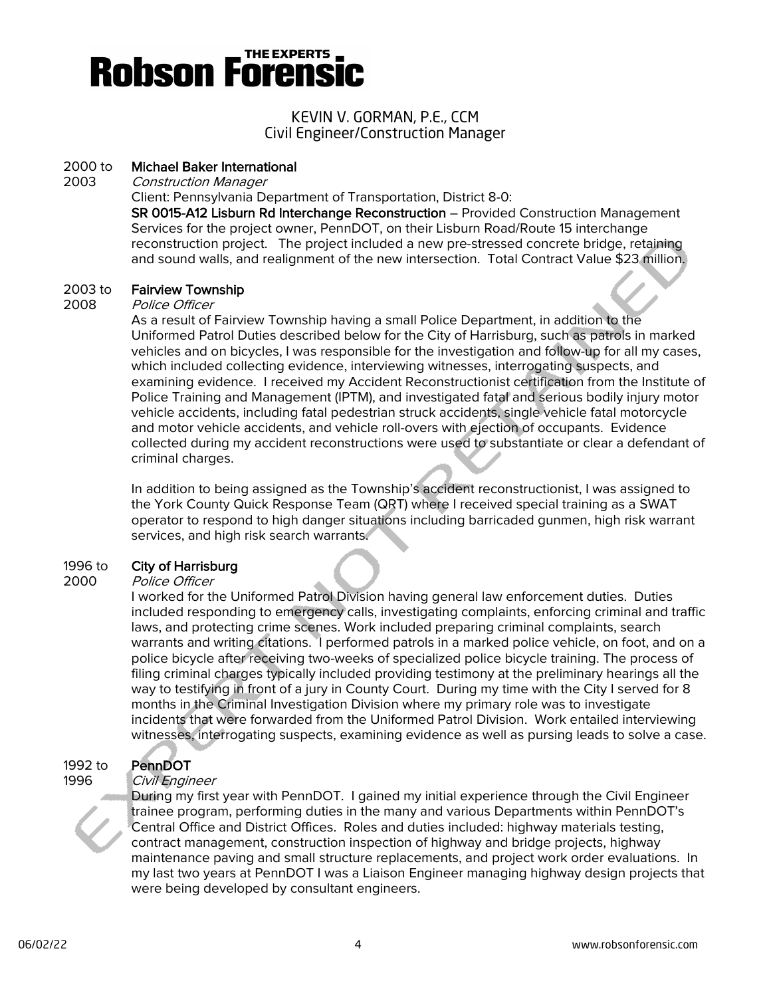# **Robson Forensi**

## KEVIN V. GORMAN, P.E., CCM Civil Engineer/Construction Manager

### 2000 to Michael Baker International

2003 Construction Manager

Client: Pennsylvania Department of Transportation, District 8-0:

SR 0015-A12 Lisburn Rd Interchange Reconstruction – Provided Construction Management Services for the project owner, PennDOT, on their Lisburn Road/Route 15 interchange reconstruction project. The project included a new pre-stressed concrete bridge, retaining and sound walls, and realignment of the new intersection. Total Contract Value \$23 million.

### 2003 to Fairview Township

#### 2008 Police Officer

As a result of Fairview Township having a small Police Department, in addition to the Uniformed Patrol Duties described below for the City of Harrisburg, such as patrols in marked vehicles and on bicycles, I was responsible for the investigation and follow-up for all my cases, which included collecting evidence, interviewing witnesses, interrogating suspects, and examining evidence. I received my Accident Reconstructionist certification from the Institute of Police Training and Management (IPTM), and investigated fatal and serious bodily injury motor vehicle accidents, including fatal pedestrian struck accidents, single vehicle fatal motorcycle and motor vehicle accidents, and vehicle roll-overs with ejection of occupants. Evidence collected during my accident reconstructions were used to substantiate or clear a defendant of criminal charges.

In addition to being assigned as the Township's accident reconstructionist, I was assigned to the York County Quick Response Team (QRT) where I received special training as a SWAT operator to respond to high danger situations including barricaded gunmen, high risk warrant services, and high risk search warrants.

# 1996 to **City of Harrisburg**<br>2000 *Police Officer*

### Police Officer

I worked for the Uniformed Patrol Division having general law enforcement duties. Duties included responding to emergency calls, investigating complaints, enforcing criminal and traffic laws, and protecting crime scenes. Work included preparing criminal complaints, search warrants and writing citations. I performed patrols in a marked police vehicle, on foot, and on a police bicycle after receiving two-weeks of specialized police bicycle training. The process of filing criminal charges typically included providing testimony at the preliminary hearings all the way to testifying in front of a jury in County Court. During my time with the City I served for 8 months in the Criminal Investigation Division where my primary role was to investigate incidents that were forwarded from the Uniformed Patrol Division. Work entailed interviewing witnesses, interrogating suspects, examining evidence as well as pursing leads to solve a case.

# 1992 to PennDOT

### 1996 Civil Engineer



During my first year with PennDOT. I gained my initial experience through the Civil Engineer trainee program, performing duties in the many and various Departments within PennDOT's Central Office and District Offices. Roles and duties included: highway materials testing, contract management, construction inspection of highway and bridge projects, highway maintenance paving and small structure replacements, and project work order evaluations. In my last two years at PennDOT I was a Liaison Engineer managing highway design projects that were being developed by consultant engineers.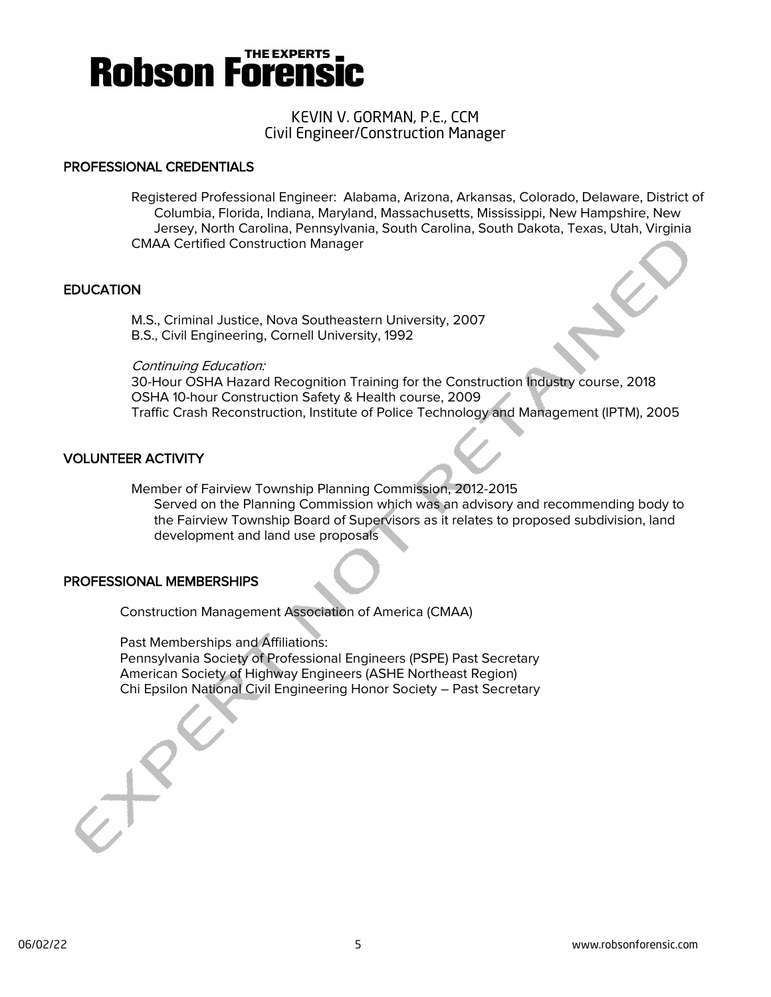

### KEVIN V. GORMAN, P.E., CCM Civil Engineer/Construction Manager

### PROFESSIONAL CREDENTIALS

Registered Professional Engineer: Alabama, Arizona, Arkansas, Colorado, Delaware, District of Columbia, Florida, Indiana, Maryland, Massachusetts, Mississippi, New Hampshire, New Jersey, North Carolina, Pennsylvania, South Carolina, South Dakota, Texas, Utah, Virginia CMAA Certified Construction Manager

### **EDUCATION**

M.S., Criminal Justice, Nova Southeastern University, 2007 B.S., Civil Engineering, Cornell University, 1992

### Continuing Education:

30-Hour OSHA Hazard Recognition Training for the Construction Industry course, 2018 OSHA 10-hour Construction Safety & Health course, 2009 Traffic Crash Reconstruction, Institute of Police Technology and Management (IPTM), 2005

### VOLUNTEER ACTIVITY

Member of Fairview Township Planning Commission, 2012-2015

Served on the Planning Commission which was an advisory and recommending body to the Fairview Township Board of Supervisors as it relates to proposed subdivision, land development and land use proposals

### PROFESSIONAL MEMBERSHIPS

Construction Management Association of America (CMAA)

Past Memberships and Affiliations:

Pennsylvania Society of Professional Engineers (PSPE) Past Secretary American Society of Highway Engineers (ASHE Northeast Region) Chi Epsilon National Civil Engineering Honor Society – Past Secretary